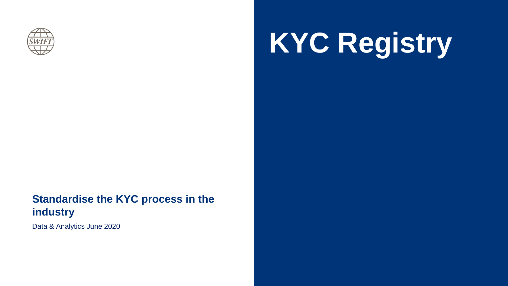

# **KYC Registry**

### **Standardise the KYC process in the industry**

Data & Analytics June 2020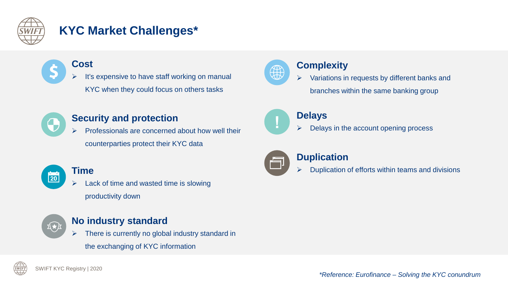

### **KYC Market Challenges\***



 It's expensive to have staff working on manual KYC when they could focus on others tasks



#### **Security and protection**

 Professionals are concerned about how well their counterparties protect their KYC data



#### **Time**

 Lack of time and wasted time is slowing productivity down



#### **No industry standard**

There is currently no global industry standard in

the exchanging of KYC information



#### **Complexity**

 Variations in requests by different banks and branches within the same banking group



#### **Delays**

Delays in the account opening process



#### **Duplication**

Duplication of efforts within teams and divisions

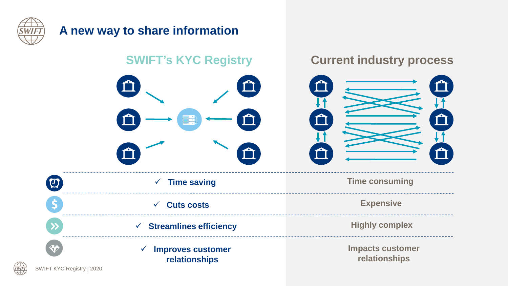

### **A new way to share information**

### **SWIFT's KYC Registry Current industry process**



**Time consuming**

**Expensive**

**Highly complex**

| UЧ. | $\checkmark$ Time saving                        |
|-----|-------------------------------------------------|
|     | $\checkmark$ Cuts costs                         |
|     | $\checkmark$ Streamlines efficiency             |
|     | $\checkmark$ Improves customer<br>relationships |

E.

**Impacts customer relationships**

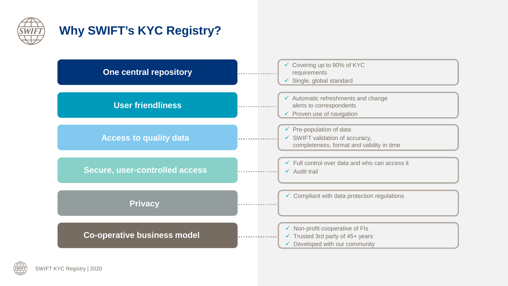

### **Why SWIFT's KYC Registry?**

| <b>One central repository</b>      | Covering up to 90% of KYC<br>$\checkmark$<br>requirements<br>$\checkmark$ Single, global standard                                      |
|------------------------------------|----------------------------------------------------------------------------------------------------------------------------------------|
| <b>User friendliness</b>           | $\checkmark$ Automatic refreshments and change<br>alerts to correspondents<br>$\checkmark$ Proven use of navigation                    |
| <b>Access to quality data</b>      | $\checkmark$ Pre-population of data<br>$\checkmark$ SWIFT validation of accuracy,<br>completeness, format and validity in time         |
| Secure, user-controlled access     | $\checkmark$ Full control over data and who can access it<br>$\checkmark$ Audit trail                                                  |
| <b>Privacy</b>                     | $\checkmark$ Compliant with data protection regulations                                                                                |
| <b>Co-operative business model</b> | $\checkmark$ Non-profit cooperative of FIs<br>$\checkmark$ Trusted 3rd party of 45+ years<br>$\checkmark$ Developed with our community |

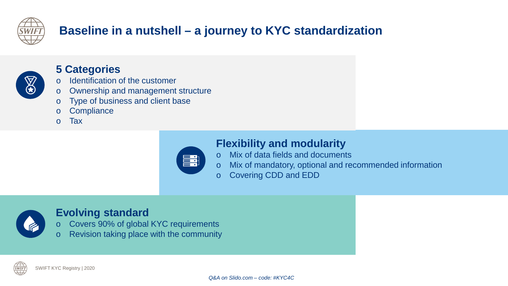

## **Baseline in a nutshell – a journey to KYC standardization**



#### **5 Categories**

- o Identification of the customer
- o Ownership and management structure
- o Type of business and client base
- o Compliance
- o Tax



### **Flexibility and modularity**

- o Mix of data fields and documents
- o Mix of mandatory, optional and recommended information
- o Covering CDD and EDD



### **Evolving standard**

- o Covers 90% of global KYC requirements
- o Revision taking place with the community

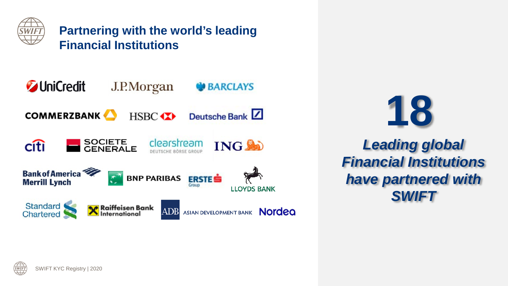

**Partnering with the world's leading Financial Institutions**





*Leading global Financial Institutions have partnered with SWIFT*

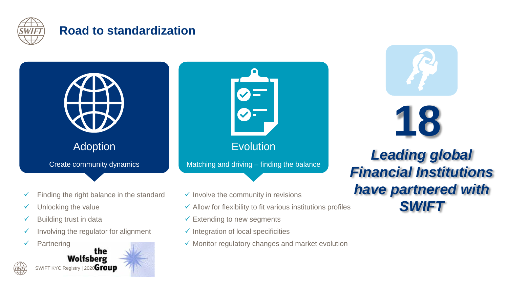

### **Road to standardization**



- $\checkmark$  Building trust in data
- $\checkmark$  Involving the regulator for alignment
- $\checkmark$  Partnering



- $\checkmark$  Allow for flexibility to fit various institutions profiles
- $\checkmark$  Extending to new segments
- $\checkmark$  Integration of local specificities
- $\checkmark$  Monitor regulatory changes and market evolution



## *Leading global Financial Institutions have partnered with SWIFT*

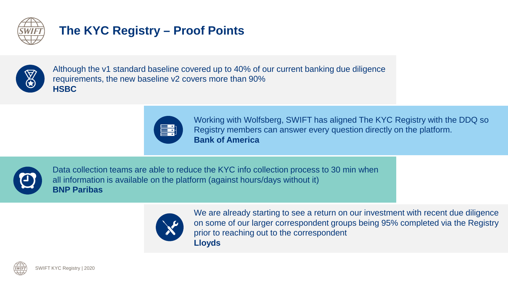

### **The KYC Registry – Proof Points**



Although the v1 standard baseline covered up to 40% of our current banking due diligence requirements, the new baseline v2 covers more than 90% **HSBC**



Working with Wolfsberg, SWIFT has aligned The KYC Registry with the DDQ so Registry members can answer every question directly on the platform. **Bank of America**



Data collection teams are able to reduce the KYC info collection process to 30 min when all information is available on the platform (against hours/days without it) **BNP Paribas**



We are already starting to see a return on our investment with recent due diligence on some of our larger correspondent groups being 95% completed via the Registry prior to reaching out to the correspondent **Lloyds**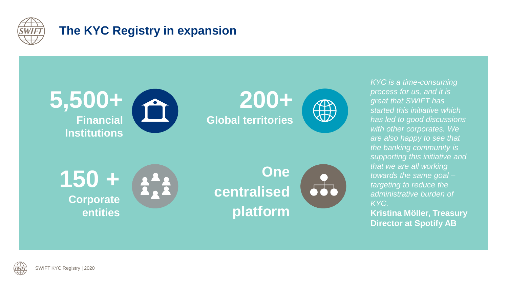

### **The KYC Registry in expansion**



**SWIFT**